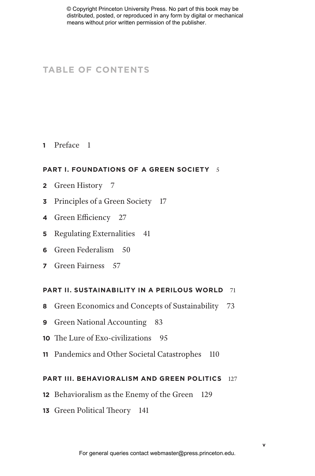© Copyright Princeton University Press. No part of this book may be distributed, posted, or reproduced in any form by digital or mechanical means without prior written permission of the publisher.

# **TABLE OF CONTENTS**

## **1** Preface 1

### **PART I. FOUNDATIONS OF A GREEN SOCIETY** 5

- **2** Green History 7
- **3** Principles of a Green Society 17
- **4** Green Efficiency 27
- **5** Regulating Externalities 41
- **6** Green Federalism 50
- **7** Green Fairness 57

#### **PART II. SUSTAINABILITY IN A PERILOUS WORLD** 71

- **8** Green Economics and Concepts of Sustainability 73
- **9** Green National Accounting 83
- **10** The Lure of Exo-civilizations 95
- **11** Pandemics and Other Societal Catastrophes 110

#### **PART III. BEHAVIORALISM AND GREEN POLITICS** 127

- **12** Behavioralism as the Enemy of the Green 129
- **13** Green Political Theory 141